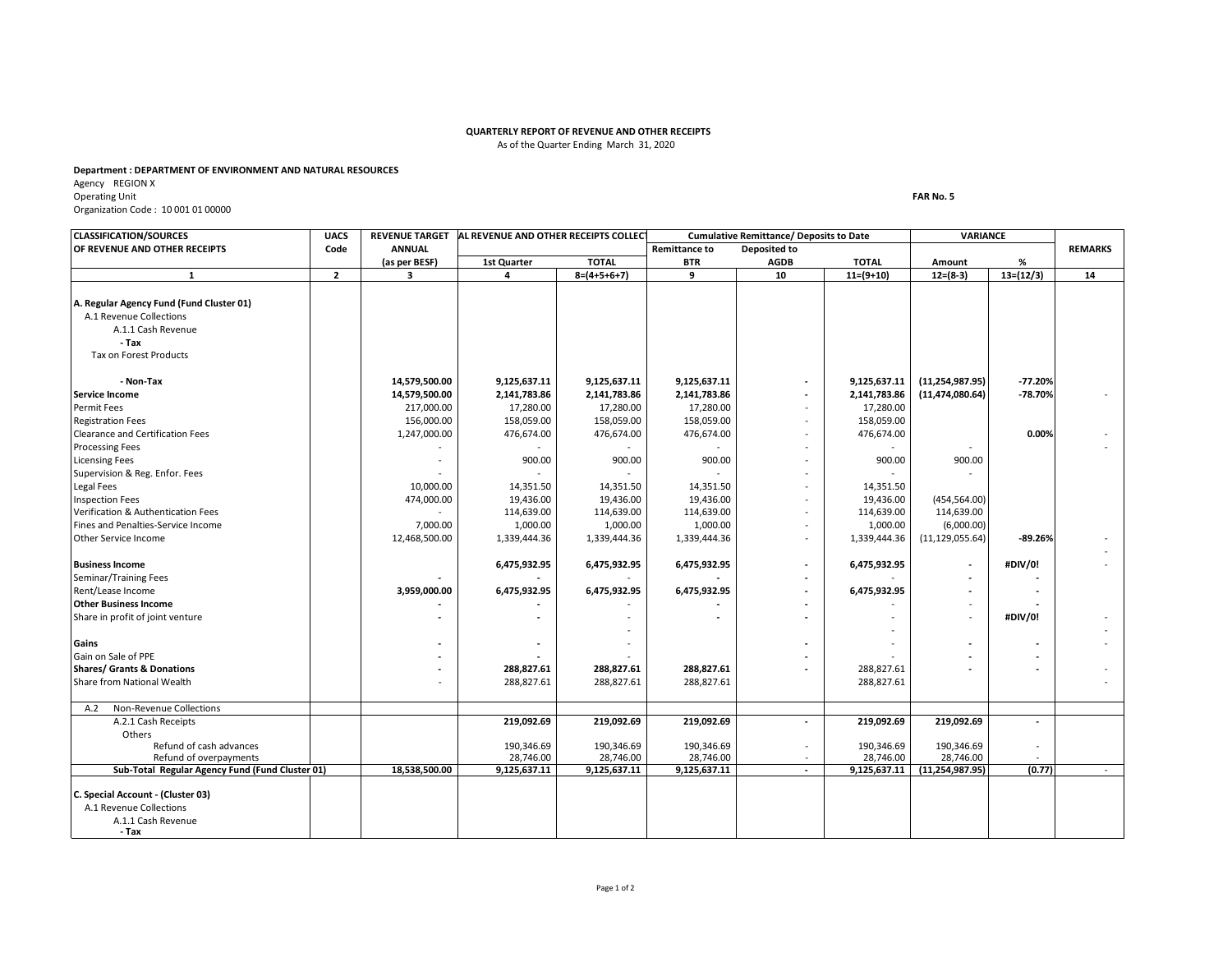## **QUARTERLY REPORT OF REVENUE AND OTHER RECEIPTS** As of the Quarter Ending March 31, 2020

## **Department : DEPARTMENT OF ENVIRONMENT AND NATURAL RESOURCES**

Agency REGION X Operating Unit Organization Code : 10 001 01 00000

**CLASSIFICATION/SOURCES UACS REVENUE TARGET OF REVENUE AND OTHER RECEIPTS**<br>
(as per BESF) 1st Quarter TOTAL BTR AGDB TOTAL Amount % **(as per BESF) 1st Quarter TOTAL BTR AGDB TOTAL Amount % 2 3 4 8=(4+5+6+7) 9 10 11=(9+10) 12=(8-3) 13=(12/3) 14** A.1.1 Cash Revenue  **- Tax - Non-Tax 14,579,500.00 9,125,637.11 9,125,637.11 9,125,637.11 - 9,125,637.11 (11,254,987.95) -77.20% 14,579,500.00 2,141,783.86 2,141,783.86 2,141,783.86 - 2,141,783.86 (11,474,080.64) -78.70%** - 217,000.00 | 17,280.00 | 17,280.00 | 17,280.00 | 17,280.00 | 17,280.00 | 17,280.00 156,000.00 | 158,059.00 | 158,059.00 | 158,059.00 | 158,059.00 | 158,059.00 1,247,000.00 476,674.00 476,674.00 476,674.00 - 476,674.00 **0.00%** - - - - - - - - - - | 900.00 | 900.00 | 900.00 | - | 900.00 | 900.00 - - - - - - - 10,000.00 14,351.50 14,351.50 14,351.50 14,351.50 14,351.50 474,000.00 19,436.00 19,436.00 19,436.00 - 19,436.00 (454,564.00) - | 114,639.00 | 114,639.00 | 114,639.00 | 114,639.00 | 114,639.00 | 114,639.00 7,000.00 1,000.00 1,000.00 1,000.00 - 1,000.00 (6,000.00) 12,468,500.00 1,339,444.36 1,339,444.36 1,339,444.36 - 1,339,444.36 (11,129,055.64) **-89.26%** - -  **6,475,932.95 6,475,932.95 6,475,932.95 - 6,475,932.95 - #DIV/0!** -  **- -** - **- -** - **- -** 3,959,000.00 | 6,475,932.95 | 6,475,932.95 | 6,475,932.95 | - - | - | - **- -** - **- -** - - **- - -** - **- -** - - **#DIV/0!** - - - -  **- -** - **-** - **- -** -  **- -** - **-** - **- - - 288,827.61 288,827.61 288,827.61 -** 288,827.61 **- -** - - 288,827.61 288,827.61 288,827.61 288,827.61 288,827.61 288,827.61 288,827.61 288,827.61 2 A.2 Non-Revenue Collections<br>A.2.1 Cash Receipts A.2.1 Cash Receipts **219,092.69 219,092.69 219,092.69 - 219,092.69 219,092.69 -** Others Refund of cash advances | 190,346.69 | 190,346.69 | - 190,346.69 | -Refund of overpayments | 28,746.00 | 28,746.00 | 28,746.00 | 28,746.00 | -**Sub-Total Regular Agency Fund (Fund Cluster 01)** 18,538,500.00 9,125,637.11 9,125,637.11 9,125,637.11 - 9,125,637.11 9,125,637.11 9,125,637.11 9,125,637.11 9,125,637.11 9,125,637.11 9,125,637.11 1,254,987.95) (0.77) **C. Special Account - (Cluster 03)** A.1.1 Cash Revenue  **- Tax** A.1 Revenue Collections **Shares/ Grants & Donations** Share from National Wealth **Other Business Income**  Share in profit of joint venture **Gains** Gain on Sale of PPE **Business Income** Seminar/Training Fees Rent/Lease Income Legal Fees Inspection Fees Verification & Authentication Fees Fines and Penalties-Service Income Other Service Income Permit Fees Registration Fees Clearance and Certification Fees Processing Fees Licensing Fees Supervision & Reg. Enfor. Fees **1 A. Regular Agency Fund (Fund Cluster 01)** A.1 Revenue Collections Tax on Forest Products **Service Income AL REVENUE AND OTHER RECEIPTS COLLECTIONS Cumulative Remittance/ Deposits to Date VARIANCE** 

**FAR No. 5**